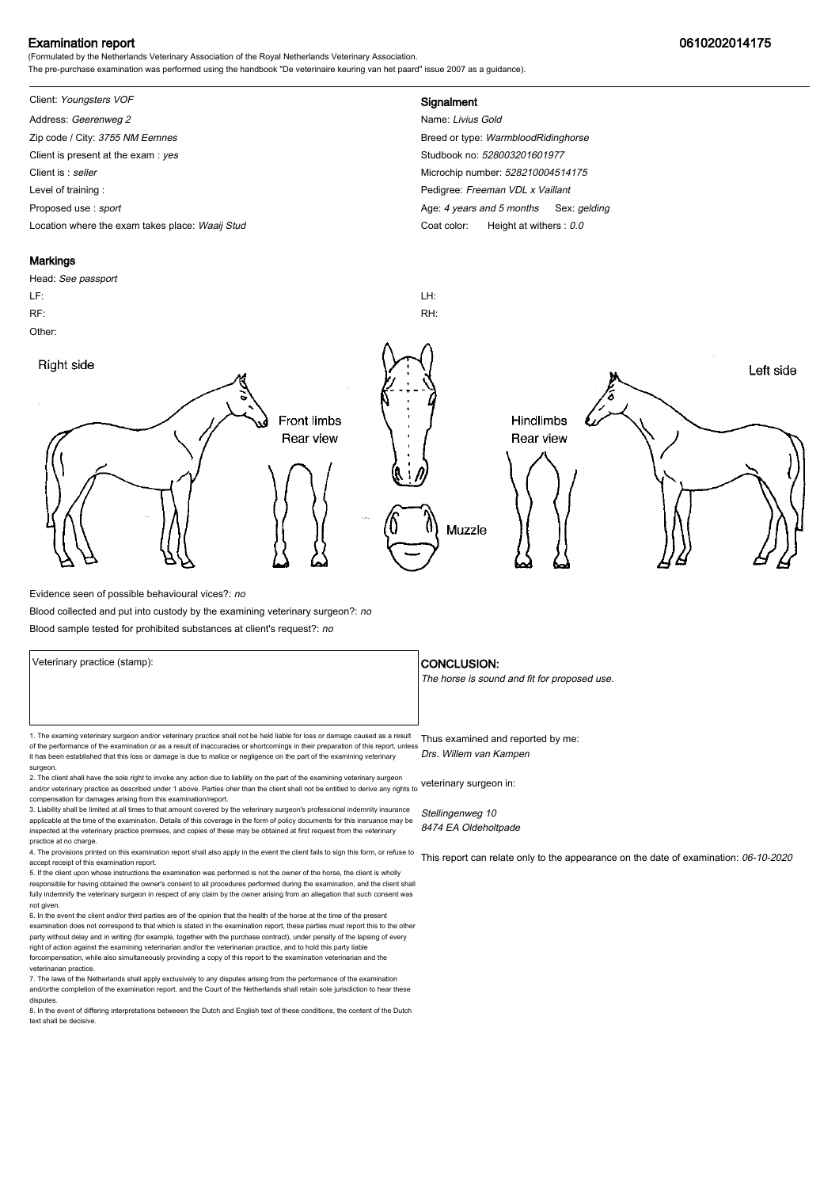## Examination report 0610202014175

(Formulated by the Netherlands Veterinary Association of the Royal Netherlands Veterinary Association. The pre-purchase examination was performed using the handbook "De veterinaire keuring van het paard" issue 2007 as a guidance).

## Client: Youngsters VOF **Signalment**

Address: Geerenweg 2 Name: Livius Gold Zip code / City: 3755 NM Eemnes Breed or type: WarmbloodRidinghorse Client is present at the exam : yes Studbook no: 528003201601977 Client is : seller Microchip number: 528210004514175 Level of training : **Pedigree:** Freeman VDL x Vaillant Proposed use : sport **Age: 4** years and 5 months Sex: gelding Location where the exam takes place: Waaij Stud Coat Color: Height at withers : 0.0

#### **Markings**

# Head: See passport LF: LH: RF: RH: Other: Right side Left side **Front limbs** Hindlimbs Rear view Rear view Muzzle

Evidence seen of possible behavioural vices?: no

Blood collected and put into custody by the examining veterinary surgeon?: no

Blood sample tested for prohibited substances at client's request?: no

1. The examing veterinary surgeon and/or veterinary practice shall not be held liable for loss or damage caused as a result Thus examined and reported by me: of the performance of the examination or as a result of inaccuracies or shortcomings in their preparation of this report, unless it has been established that this loss or damage is due to malice or negligence on the part of the examining veterinary surgeon. Drs. Willem van Kampen

2. The client shall have the sole right to invoke any action due to liability on the part of the examining veterinary surgeon and/or veterinary practice as described under 1 above. Parties oher than the client shall not be entitled to derive any rights to veterinary surgeon in: compensation for damages arising from this examination/report.

3. Liability shall be limited at all times to that amount covered by the veterinary surgeon's professional indemnity insurance applicable at the time of the examination. Details of this coverage in the form of policy documents for this insruance may be inspected at the veterinary practice premises, and copies of these may be obtained at first request from the veterinary practice at no charge.

4. The provisions printed on this examination report shall also apply in the event the client fails to sign this form, or refuse to accept receipt of this examination report.

5. If the client upon whose instructions the examination was performed is not the owner of the horse, the client is wholly responsible for having obtained the owner's consent to all procedures performed during the examination, and the client shall fully indemnify the veterinary surgeon in respect of any claim by the owner arising from an allegation that such consent was not given.

6. In the event the client and/or third parties are of the opinion that the health of the horse at the time of the present examination does not correspond to that which is stated in the examination report, these parties must report this to the other party without delay and in writing (for example, together with the purchase contract), under penalty of the lapsing of every<br>right of action against the examining veterinarian and/or the veterinarian practice, and to hold forcompensation, while also simultaneously provinding a copy of this report to the examination veterinarian and th veterinarian practice.

7. The laws of the Netherlands shall apply exclusively to any disputes arising from the performance of the examination and/orthe completion of the examination report, and the Court of the Netherlands shall retain sole jurisdiction to hear these disputes.

8. In the event of differing interpretations betweeen the Dutch and English text of these conditions, the content of the Dutch text shall be decisive.

#### Veterinary practice (stamp):  $\overline{\phantom{a}}$  CONCLUSION:

The horse is sound and fit for proposed use.

Stellingenweg 10 8474 EA Oldeholtpade

This report can relate only to the appearance on the date of examination: 06-10-2020